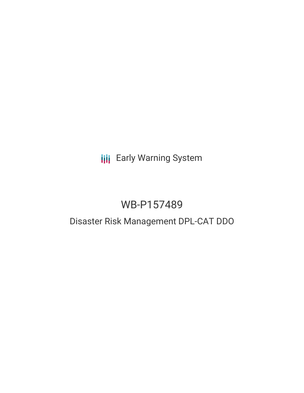# **III** Early Warning System

# WB-P157489

# Disaster Risk Management DPL-CAT DDO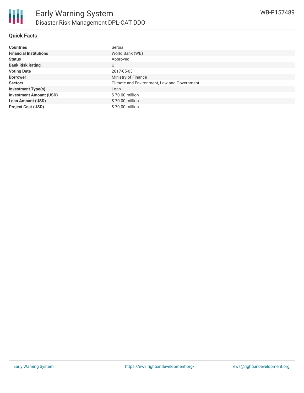

#### **Quick Facts**

| <b>Countries</b>               | Serbia                                      |
|--------------------------------|---------------------------------------------|
| <b>Financial Institutions</b>  | World Bank (WB)                             |
| <b>Status</b>                  | Approved                                    |
| <b>Bank Risk Rating</b>        | U                                           |
| <b>Voting Date</b>             | 2017-05-03                                  |
| <b>Borrower</b>                | Ministry of Finance                         |
| <b>Sectors</b>                 | Climate and Environment, Law and Government |
| <b>Investment Type(s)</b>      | Loan                                        |
| <b>Investment Amount (USD)</b> | \$70.00 million                             |
| <b>Loan Amount (USD)</b>       | \$70.00 million                             |
| <b>Project Cost (USD)</b>      | \$70.00 million                             |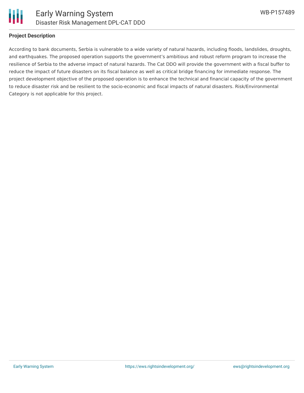

#### **Project Description**

According to bank documents, Serbia is vulnerable to a wide variety of natural hazards, including floods, landslides, droughts, and earthquakes. The proposed operation supports the government's ambitious and robust reform program to increase the resilience of Serbia to the adverse impact of natural hazards. The Cat DDO will provide the government with a fiscal buffer to reduce the impact of future disasters on its fiscal balance as well as critical bridge financing for immediate response. The project development objective of the proposed operation is to enhance the technical and financial capacity of the government to reduce disaster risk and be resilient to the socio-economic and fiscal impacts of natural disasters. Risk/Environmental Category is not applicable for this project.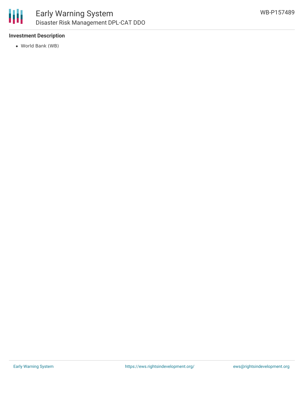

### **Investment Description**

World Bank (WB)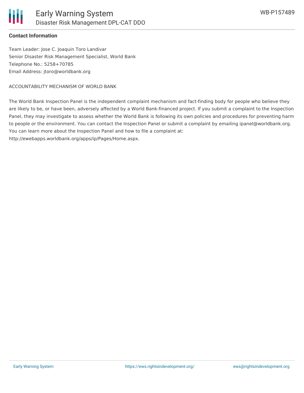### **Contact Information**

Team Leader: Jose C. Joaquin Toro Landivar Senior Disaster Risk Management Specialist, World Bank Telephone No.: 5258+70785 Email Address: jtoro@worldbank.org

ACCOUNTABILITY MECHANISM OF WORLD BANK

The World Bank Inspection Panel is the independent complaint mechanism and fact-finding body for people who believe they are likely to be, or have been, adversely affected by a World Bank-financed project. If you submit a complaint to the Inspection Panel, they may investigate to assess whether the World Bank is following its own policies and procedures for preventing harm to people or the environment. You can contact the Inspection Panel or submit a complaint by emailing ipanel@worldbank.org. You can learn more about the Inspection Panel and how to file a complaint at:

http://ewebapps.worldbank.org/apps/ip/Pages/Home.aspx.